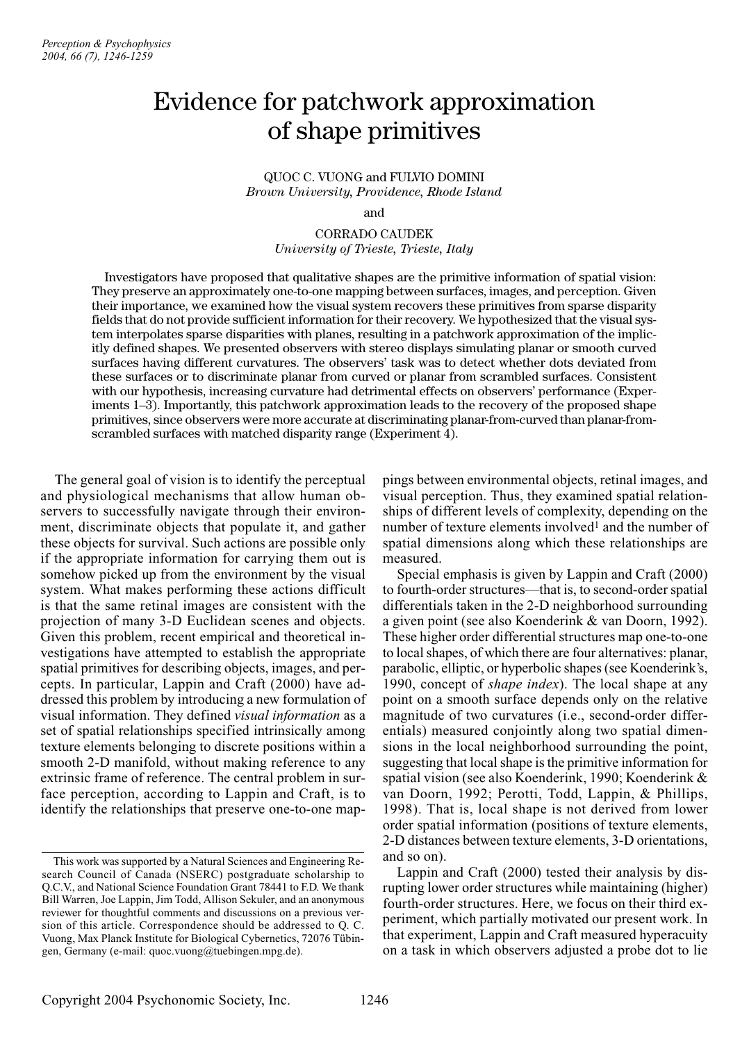# Evidence for patchwork approximation of shape primitives

QUOC C. VUONG and FULVIO DOMINI *Brown University, Providence, Rhode Island*

# CORRADO CAUDEK *University of Trieste, Trieste, Italy*

Investigators have proposed that qualitative shapes are the primitive information of spatial vision: They preserve an approximately one-to-one mapping between surfaces, images, and perception. Given their importance, we examined how the visual system recovers these primitives from sparse disparity fields that do not provide sufficient information for their recovery. We hypothesized that the visual system interpolates sparse disparities with planes, resulting in a patchwork approximation of the implicitly defined shapes. We presented observers with stereo displays simulating planar or smooth curved surfaces having different curvatures. The observers' task was to detect whether dots deviated from these surfaces or to discriminate planar from curved or planar from scrambled surfaces. Consistent with our hypothesis, increasing curvature had detrimental effects on observers' performance (Experiments 1–3). Importantly, this patchwork approximation leads to the recovery of the proposed shape primitives, since observers were more accurate at discriminating planar-from-curved than planar-fromscrambled surfaces with matched disparity range (Experiment 4).

The general goal of vision is to identify the perceptual and physiological mechanisms that allow human observers to successfully navigate through their environment, discriminate objects that populate it, and gather these objects for survival. Such actions are possible only if the appropriate information for carrying them out is somehow picked up from the environment by the visual system. What makes performing these actions difficult is that the same retinal images are consistent with the projection of many 3-D Euclidean scenes and objects. Given this problem, recent empirical and theoretical investigations have attempted to establish the appropriate spatial primitives for describing objects, images, and percepts. In particular, Lappin and Craft (2000) have addressed this problem by introducing a new formulation of visual information. They defined *visual information* as a set of spatial relationships specified intrinsically among texture elements belonging to discrete positions within a smooth 2-D manifold, without making reference to any extrinsic frame of reference. The central problem in surface perception, according to Lappin and Craft, is to identify the relationships that preserve one-to-one mappings between environmental objects, retinal images, and visual perception. Thus, they examined spatial relationships of different levels of complexity, depending on the number of texture elements involved<sup>1</sup> and the number of spatial dimensions along which these relationships are measured.

Special emphasis is given by Lappin and Craft (2000) to fourth-order structures—that is, to second-order spatial differentials taken in the 2-D neighborhood surrounding a given point (see also Koenderink & van Doorn, 1992). These higher order differential structures map one-to-one to local shapes, of which there are four alternatives: planar, parabolic, elliptic, or hyperbolic shapes (see Koenderink's, 1990, concept of *shape index*). The local shape at any point on a smooth surface depends only on the relative magnitude of two curvatures (i.e., second-order differentials) measured conjointly along two spatial dimensions in the local neighborhood surrounding the point, suggesting that local shape is the primitive information for spatial vision (see also Koenderink, 1990; Koenderink & van Doorn, 1992; Perotti, Todd, Lappin, & Phillips, 1998). That is, local shape is not derived from lower order spatial information (positions of texture elements, 2-D distances between texture elements, 3-D orientations, and so on).

Lappin and Craft (2000) tested their analysis by disrupting lower order structures while maintaining (higher) fourth-order structures. Here, we focus on their third experiment, which partially motivated our present work. In that experiment, Lappin and Craft measured hyperacuity on a task in which observers adjusted a probe dot to lie

and

This work was supported by a Natural Sciences and Engineering Research Council of Canada (NSERC) postgraduate scholarship to Q.C.V., and National Science Foundation Grant 78441 to F.D. We thank Bill Warren, Joe Lappin, Jim Todd, Allison Sekuler, and an anonymous reviewer for thoughtful comments and discussions on a previous version of this article. Correspondence should be addressed to Q. C. Vuong, Max Planck Institute for Biological Cybernetics, 72076 Tübingen, Germany (e-mail: quoc.vuong@tuebingen.mpg.de).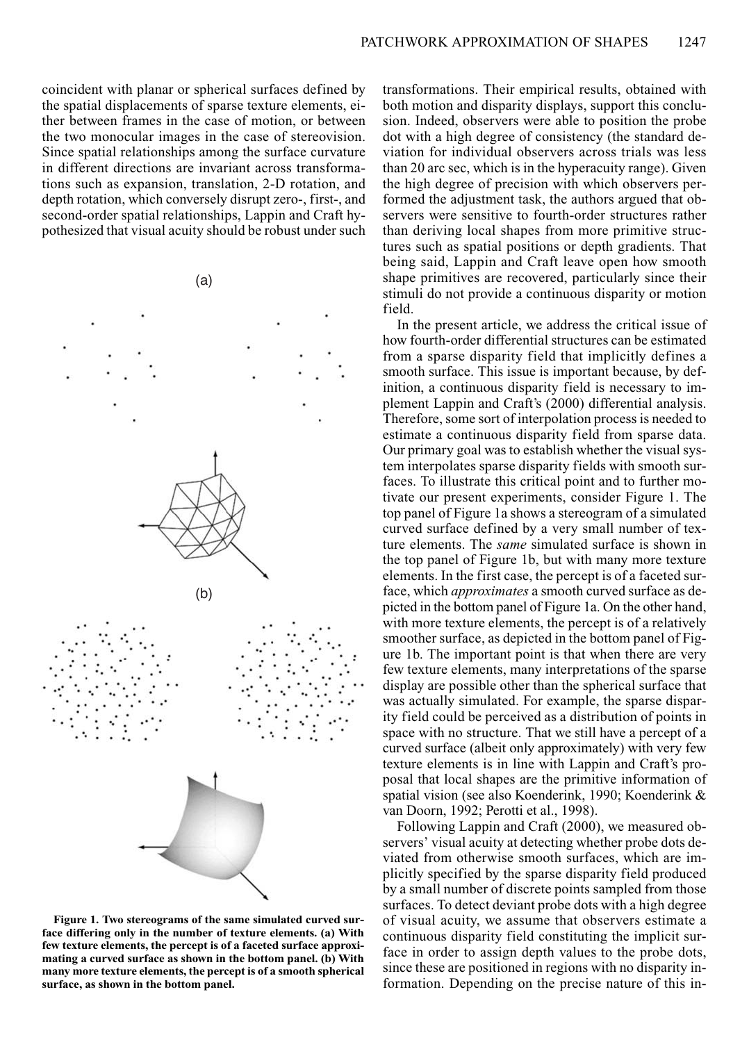coincident with planar or spherical surfaces defined by the spatial displacements of sparse texture elements, either between frames in the case of motion, or between the two monocular images in the case of stereovision. Since spatial relationships among the surface curvature in different directions are invariant across transformations such as expansion, translation, 2-D rotation, and depth rotation, which conversely disrupt zero-, first-, and second-order spatial relationships, Lappin and Craft hypothesized that visual acuity should be robust under such



**Figure 1. Two stereograms of the same simulated curved surface differing only in the number of texture elements. (a) With few texture elements, the percept is of a faceted surface approximating a curved surface as shown in the bottom panel. (b) With many more texture elements, the percept is of a smooth spherical surface, as shown in the bottom panel.**

transformations. Their empirical results, obtained with both motion and disparity displays, support this conclusion. Indeed, observers were able to position the probe dot with a high degree of consistency (the standard deviation for individual observers across trials was less than 20 arc sec, which is in the hyperacuity range). Given the high degree of precision with which observers performed the adjustment task, the authors argued that observers were sensitive to fourth-order structures rather than deriving local shapes from more primitive structures such as spatial positions or depth gradients. That being said, Lappin and Craft leave open how smooth shape primitives are recovered, particularly since their stimuli do not provide a continuous disparity or motion field.

In the present article, we address the critical issue of how fourth-order differential structures can be estimated from a sparse disparity field that implicitly defines a smooth surface. This issue is important because, by definition, a continuous disparity field is necessary to implement Lappin and Craft's (2000) differential analysis. Therefore, some sort of interpolation process is needed to estimate a continuous disparity field from sparse data. Our primary goal was to establish whether the visual system interpolates sparse disparity fields with smooth surfaces. To illustrate this critical point and to further motivate our present experiments, consider Figure 1. The top panel of Figure 1a shows a stereogram of a simulated curved surface defined by a very small number of texture elements. The *same* simulated surface is shown in the top panel of Figure 1b, but with many more texture elements. In the first case, the percept is of a faceted surface, which *approximates* a smooth curved surface as depicted in the bottom panel of Figure 1a. On the other hand, with more texture elements, the percept is of a relatively smoother surface, as depicted in the bottom panel of Figure 1b. The important point is that when there are very few texture elements, many interpretations of the sparse display are possible other than the spherical surface that was actually simulated. For example, the sparse disparity field could be perceived as a distribution of points in space with no structure. That we still have a percept of a curved surface (albeit only approximately) with very few texture elements is in line with Lappin and Craft's proposal that local shapes are the primitive information of spatial vision (see also Koenderink, 1990; Koenderink & van Doorn, 1992; Perotti et al., 1998).

Following Lappin and Craft (2000), we measured observers' visual acuity at detecting whether probe dots deviated from otherwise smooth surfaces, which are implicitly specified by the sparse disparity field produced by a small number of discrete points sampled from those surfaces. To detect deviant probe dots with a high degree of visual acuity, we assume that observers estimate a continuous disparity field constituting the implicit surface in order to assign depth values to the probe dots, since these are positioned in regions with no disparity information. Depending on the precise nature of this in-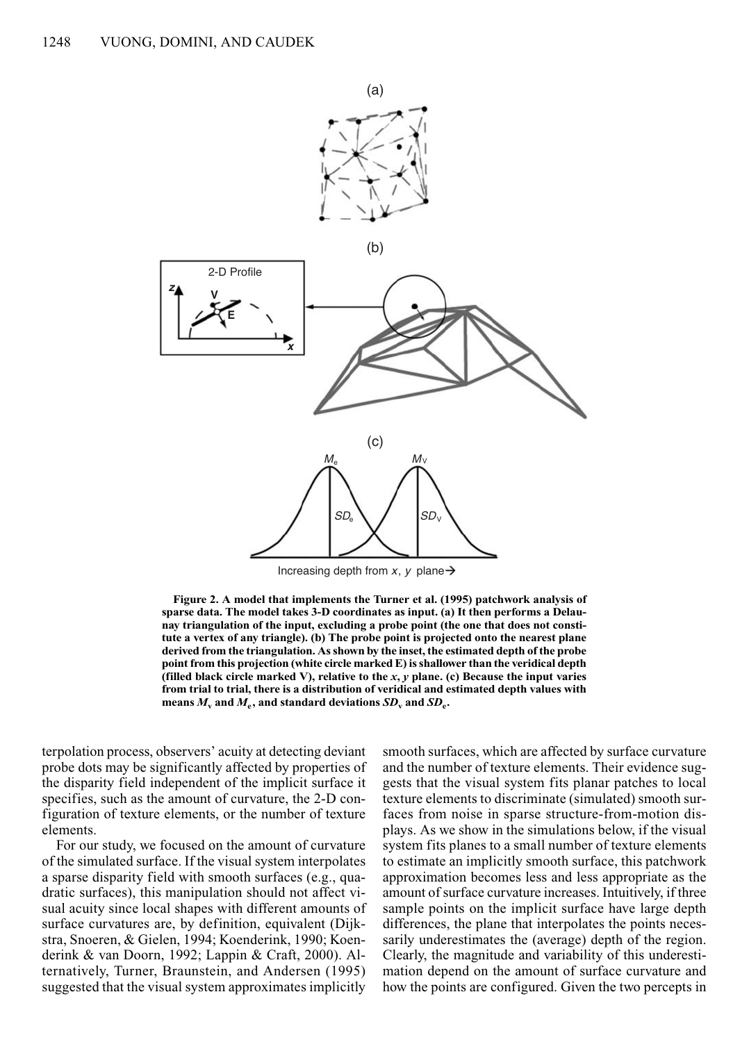

Increasing depth from  $x$ ,  $y$  plane  $\rightarrow$ 

**Figure 2. A model that implements the Turner et al. (1995) patchwork analysis of sparse data. The model takes 3-D coordinates as input. (a) It then performs a Delaunay triangulation of the input, excluding a probe point (the one that does not constitute a vertex of any triangle). (b) The probe point is projected onto the nearest plane derived from the triangulation. As shown by the inset, the estimated depth of the probe point from this projection (white circle marked E) is shallower than the veridical depth (filled black circle marked V), relative to the** *x***,** *y* **plane. (c) Because the input varies from trial to trial, there is a distribution of veridical and estimated depth values with means**  $M_v$  and  $M_e$ , and standard deviations  $SD_v$  and  $SD_e$ .

terpolation process, observers' acuity at detecting deviant probe dots may be significantly affected by properties of the disparity field independent of the implicit surface it specifies, such as the amount of curvature, the 2-D configuration of texture elements, or the number of texture elements.

For our study, we focused on the amount of curvature of the simulated surface. If the visual system interpolates a sparse disparity field with smooth surfaces (e.g., quadratic surfaces), this manipulation should not affect visual acuity since local shapes with different amounts of surface curvatures are, by definition, equivalent (Dijkstra, Snoeren, & Gielen, 1994; Koenderink, 1990; Koenderink & van Doorn, 1992; Lappin & Craft, 2000). Alternatively, Turner, Braunstein, and Andersen (1995) suggested that the visual system approximates implicitly smooth surfaces, which are affected by surface curvature and the number of texture elements. Their evidence suggests that the visual system fits planar patches to local texture elements to discriminate (simulated) smooth surfaces from noise in sparse structure-from-motion displays. As we show in the simulations below, if the visual system fits planes to a small number of texture elements to estimate an implicitly smooth surface, this patchwork approximation becomes less and less appropriate as the amount of surface curvature increases. Intuitively, if three sample points on the implicit surface have large depth differences, the plane that interpolates the points necessarily underestimates the (average) depth of the region. Clearly, the magnitude and variability of this underestimation depend on the amount of surface curvature and how the points are configured. Given the two percepts in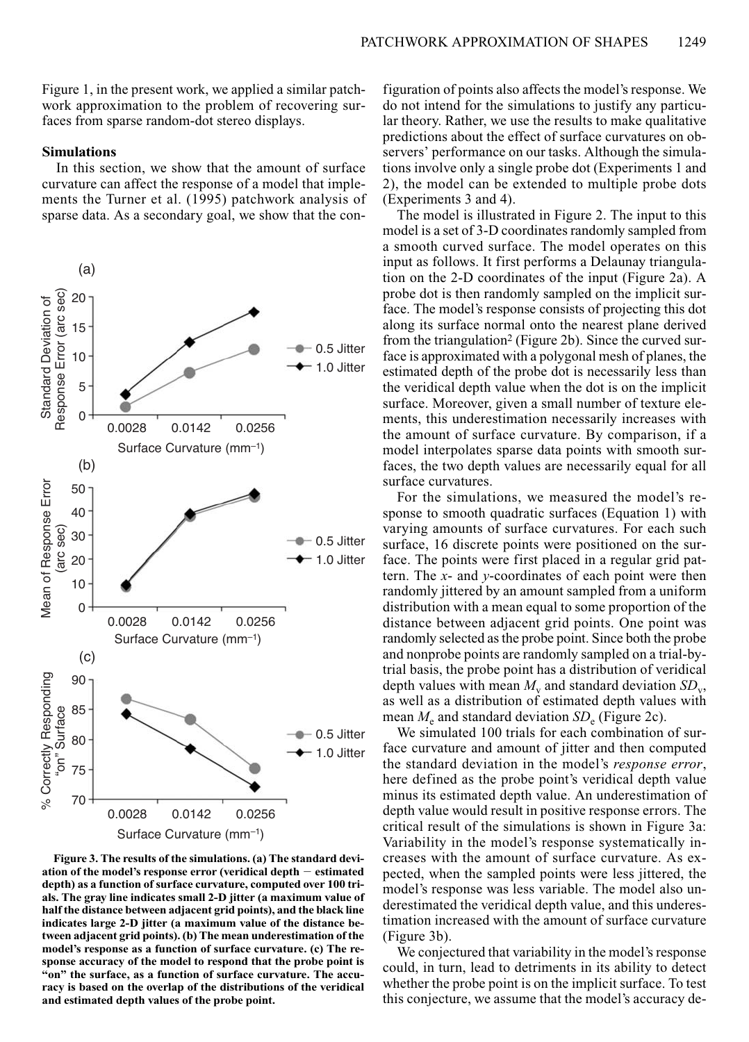Figure 1, in the present work, we applied a similar patchwork approximation to the problem of recovering surfaces from sparse random-dot stereo displays.

## **Simulations**

In this section, we show that the amount of surface curvature can affect the response of a model that implements the Turner et al. (1995) patchwork analysis of sparse data. As a secondary goal, we show that the con-



**Figure 3. The results of the simulations. (a) The standard deviation of the model's response error (veridical depth estimated depth) as a function of surface curvature, computed over 100 trials. The gray line indicates small 2-D jitter (a maximum value of half the distance between adjacent grid points), and the black line indicates large 2-D jitter (a maximum value of the distance between adjacent grid points). (b) The mean underestimation of the model's response as a function of surface curvature. (c) The response accuracy of the model to respond that the probe point is "on" the surface, as a function of surface curvature. The accuracy is based on the overlap of the distributions of the veridical and estimated depth values of the probe point.**

figuration of points also affects the model's response. We do not intend for the simulations to justify any particular theory. Rather, we use the results to make qualitative predictions about the effect of surface curvatures on observers' performance on our tasks. Although the simulations involve only a single probe dot (Experiments 1 and 2), the model can be extended to multiple probe dots (Experiments 3 and 4).

The model is illustrated in Figure 2. The input to this model is a set of 3-D coordinates randomly sampled from a smooth curved surface. The model operates on this input as follows. It first performs a Delaunay triangulation on the 2-D coordinates of the input (Figure 2a). A probe dot is then randomly sampled on the implicit surface. The model's response consists of projecting this dot along its surface normal onto the nearest plane derived from the triangulation<sup>2</sup> (Figure 2b). Since the curved surface is approximated with a polygonal mesh of planes, the estimated depth of the probe dot is necessarily less than the veridical depth value when the dot is on the implicit surface. Moreover, given a small number of texture elements, this underestimation necessarily increases with the amount of surface curvature. By comparison, if a model interpolates sparse data points with smooth surfaces, the two depth values are necessarily equal for all surface curvatures.

For the simulations, we measured the model's response to smooth quadratic surfaces (Equation 1) with varying amounts of surface curvatures. For each such surface, 16 discrete points were positioned on the surface. The points were first placed in a regular grid pattern. The *x*- and *y*-coordinates of each point were then randomly jittered by an amount sampled from a uniform distribution with a mean equal to some proportion of the distance between adjacent grid points. One point was randomly selected as the probe point. Since both the probe and nonprobe points are randomly sampled on a trial-bytrial basis, the probe point has a distribution of veridical depth values with mean  $M_{\rm v}$  and standard deviation  $SD_{\rm v}$ , as well as a distribution of estimated depth values with mean  $M_e$  and standard deviation  $SD_e$  (Figure 2c).

We simulated 100 trials for each combination of surface curvature and amount of jitter and then computed the standard deviation in the model's *response error*, here defined as the probe point's veridical depth value minus its estimated depth value. An underestimation of depth value would result in positive response errors. The critical result of the simulations is shown in Figure 3a: Variability in the model's response systematically increases with the amount of surface curvature. As expected, when the sampled points were less jittered, the model's response was less variable. The model also underestimated the veridical depth value, and this underestimation increased with the amount of surface curvature (Figure 3b).

We conjectured that variability in the model's response could, in turn, lead to detriments in its ability to detect whether the probe point is on the implicit surface. To test this conjecture, we assume that the model's accuracy de-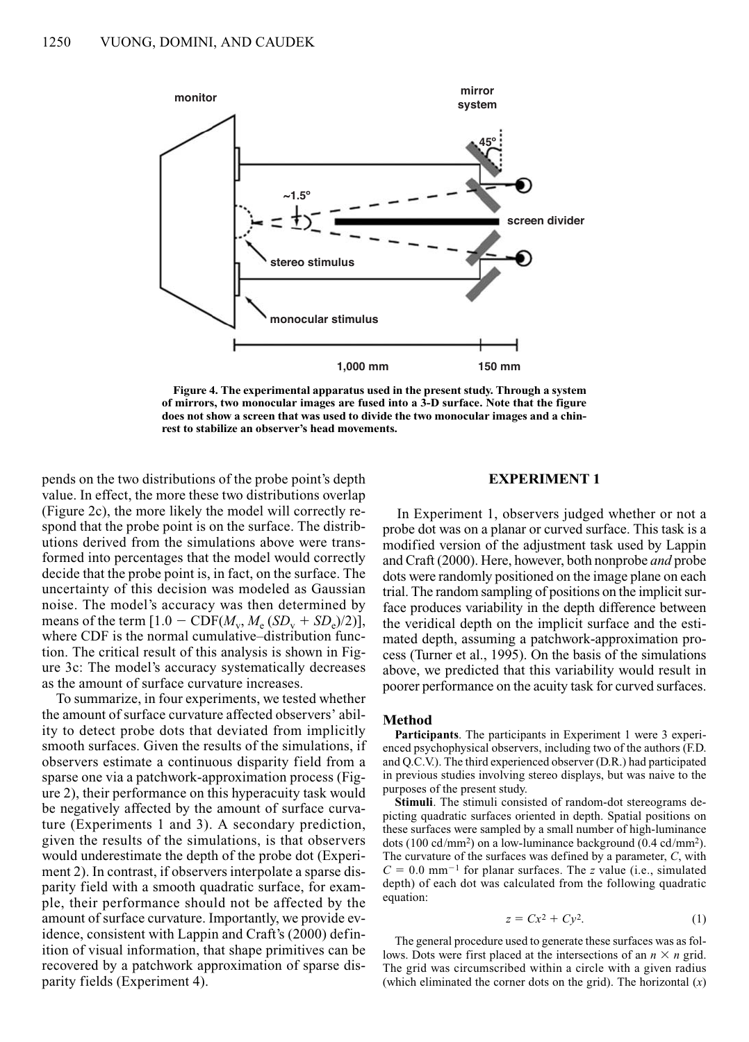

**Figure 4. The experimental apparatus used in the present study. Through a system of mirrors, two monocular images are fused into a 3-D surface. Note that the figure does not show a screen that was used to divide the two monocular images and a chinrest to stabilize an observer's head movements.**

pends on the two distributions of the probe point's depth value. In effect, the more these two distributions overlap (Figure 2c), the more likely the model will correctly respond that the probe point is on the surface. The distributions derived from the simulations above were transformed into percentages that the model would correctly decide that the probe point is, in fact, on the surface. The uncertainty of this decision was modeled as Gaussian noise. The model's accuracy was then determined by means of the term  $[1.0 - \text{CDF}(M_v, M_s(SD_v + SD_s)/2)],$ where CDF is the normal cumulative–distribution function. The critical result of this analysis is shown in Figure 3c: The model's accuracy systematically decreases as the amount of surface curvature increases.

To summarize, in four experiments, we tested whether the amount of surface curvature affected observers' ability to detect probe dots that deviated from implicitly smooth surfaces. Given the results of the simulations, if observers estimate a continuous disparity field from a sparse one via a patchwork-approximation process (Figure 2), their performance on this hyperacuity task would be negatively affected by the amount of surface curvature (Experiments 1 and 3). A secondary prediction, given the results of the simulations, is that observers would underestimate the depth of the probe dot (Experiment 2). In contrast, if observers interpolate a sparse disparity field with a smooth quadratic surface, for example, their performance should not be affected by the amount of surface curvature. Importantly, we provide evidence, consistent with Lappin and Craft's (2000) definition of visual information, that shape primitives can be recovered by a patchwork approximation of sparse disparity fields (Experiment 4).

# **EXPERIMENT 1**

In Experiment 1, observers judged whether or not a probe dot was on a planar or curved surface. This task is a modified version of the adjustment task used by Lappin and Craft (2000). Here, however, both nonprobe *and* probe dots were randomly positioned on the image plane on each trial. The random sampling of positions on the implicit surface produces variability in the depth difference between the veridical depth on the implicit surface and the estimated depth, assuming a patchwork-approximation process (Turner et al., 1995). On the basis of the simulations above, we predicted that this variability would result in poorer performance on the acuity task for curved surfaces.

## **Method**

**Participants**. The participants in Experiment 1 were 3 experienced psychophysical observers, including two of the authors (F.D. and Q.C.V.). The third experienced observer (D.R.) had participated in previous studies involving stereo displays, but was naive to the purposes of the present study.

**Stimuli**. The stimuli consisted of random-dot stereograms depicting quadratic surfaces oriented in depth. Spatial positions on these surfaces were sampled by a small number of high-luminance dots (100 cd/mm2) on a low-luminance background (0.4 cd/mm2). The curvature of the surfaces was defined by a parameter, *C*, with  $C = 0.0$  mm<sup>-1</sup> for planar surfaces. The *z* value (i.e., simulated depth) of each dot was calculated from the following quadratic equation:

$$
z = Cx^2 + Cy^2. \tag{1}
$$

The general procedure used to generate these surfaces was as follows. Dots were first placed at the intersections of an  $n \times n$  grid. The grid was circumscribed within a circle with a given radius (which eliminated the corner dots on the grid). The horizontal  $(x)$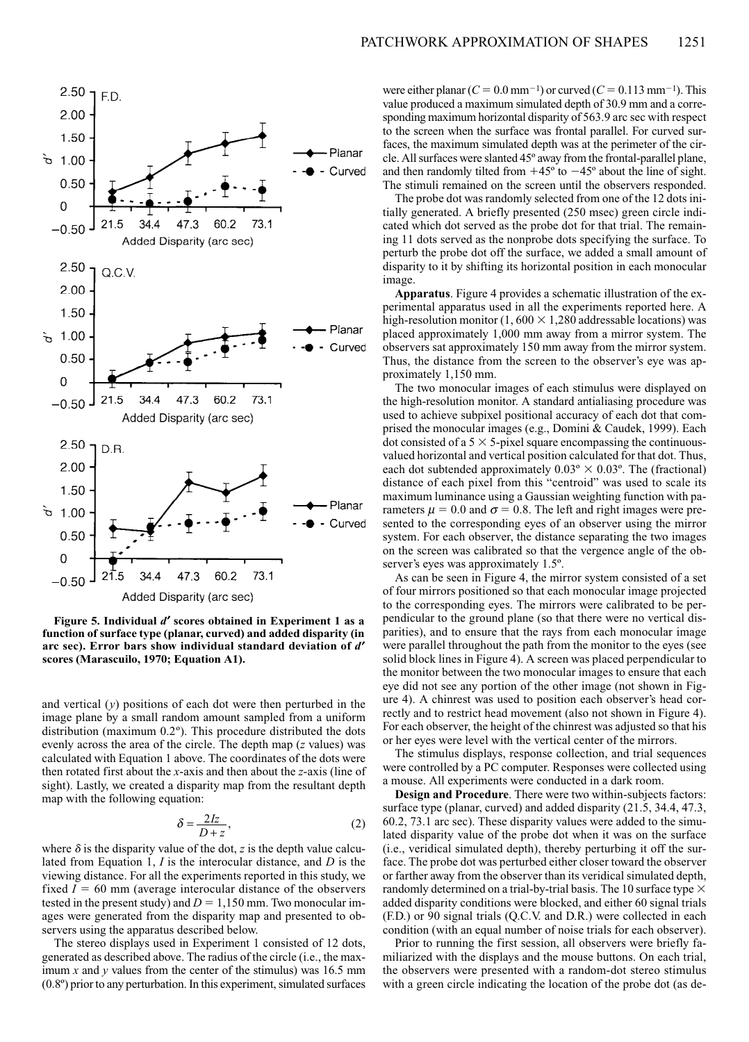

**Figure 5. Individual** *d*¢ **scores obtained in Experiment 1 as a function of surface type (planar, curved) and added disparity (in** arc sec). Error bars show individual standard deviation of  $d'$ **scores (Marascuilo, 1970; Equation A1).**

and vertical (*y*) positions of each dot were then perturbed in the image plane by a small random amount sampled from a uniform distribution (maximum 0.2º). This procedure distributed the dots evenly across the area of the circle. The depth map (*z* values) was calculated with Equation 1 above. The coordinates of the dots were then rotated first about the *x*-axis and then about the *z*-axis (line of sight). Lastly, we created a disparity map from the resultant depth map with the following equation:

$$
\delta = \frac{2Iz}{D+z},\tag{2}
$$

where  $\delta$  is the disparity value of the dot, *z* is the depth value calculated from Equation 1, *I* is the interocular distance, and *D* is the viewing distance. For all the experiments reported in this study, we fixed  $I = 60$  mm (average interocular distance of the observers tested in the present study) and  $D = 1,150$  mm. Two monocular images were generated from the disparity map and presented to observers using the apparatus described below.

The stereo displays used in Experiment 1 consisted of 12 dots, generated as described above. The radius of the circle (i.e., the maximum *x* and *y* values from the center of the stimulus) was 16.5 mm (0.8º) prior to any perturbation. In this experiment, simulated surfaces were either planar  $(C = 0.0 \text{ mm}^{-1})$  or curved  $(C = 0.113 \text{ mm}^{-1})$ . This value produced a maximum simulated depth of 30.9 mm and a corresponding maximum horizontal disparity of 563.9 arc sec with respect to the screen when the surface was frontal parallel. For curved surfaces, the maximum simulated depth was at the perimeter of the circle. All surfaces were slanted 45º away from the frontal-parallel plane, and then randomly tilted from  $+45^{\circ}$  to  $-45^{\circ}$  about the line of sight. The stimuli remained on the screen until the observers responded.

The probe dot was randomly selected from one of the 12 dots initially generated. A briefly presented (250 msec) green circle indicated which dot served as the probe dot for that trial. The remaining 11 dots served as the nonprobe dots specifying the surface. To perturb the probe dot off the surface, we added a small amount of disparity to it by shifting its horizontal position in each monocular image.

**Apparatus**. Figure 4 provides a schematic illustration of the experimental apparatus used in all the experiments reported here. A high-resolution monitor (1, 600  $\times$  1,280 addressable locations) was placed approximately 1,000 mm away from a mirror system. The observers sat approximately 150 mm away from the mirror system. Thus, the distance from the screen to the observer's eye was approximately 1,150 mm.

The two monocular images of each stimulus were displayed on the high-resolution monitor. A standard antialiasing procedure was used to achieve subpixel positional accuracy of each dot that comprised the monocular images (e.g., Domini & Caudek, 1999). Each dot consisted of a  $5 \times 5$ -pixel square encompassing the continuousvalued horizontal and vertical position calculated for that dot. Thus, each dot subtended approximately  $0.03^\circ \times 0.03^\circ$ . The (fractional) distance of each pixel from this "centroid" was used to scale its maximum luminance using a Gaussian weighting function with parameters  $\mu = 0.0$  and  $\sigma = 0.8$ . The left and right images were presented to the corresponding eyes of an observer using the mirror system. For each observer, the distance separating the two images on the screen was calibrated so that the vergence angle of the observer's eyes was approximately 1.5º.

As can be seen in Figure 4, the mirror system consisted of a set of four mirrors positioned so that each monocular image projected to the corresponding eyes. The mirrors were calibrated to be perpendicular to the ground plane (so that there were no vertical disparities), and to ensure that the rays from each monocular image were parallel throughout the path from the monitor to the eyes (see solid block lines in Figure 4). A screen was placed perpendicular to the monitor between the two monocular images to ensure that each eye did not see any portion of the other image (not shown in Figure 4). A chinrest was used to position each observer's head correctly and to restrict head movement (also not shown in Figure 4). For each observer, the height of the chinrest was adjusted so that his or her eyes were level with the vertical center of the mirrors.

The stimulus displays, response collection, and trial sequences were controlled by a PC computer. Responses were collected using a mouse. All experiments were conducted in a dark room.

**Design and Procedure**. There were two within-subjects factors: surface type (planar, curved) and added disparity (21.5, 34.4, 47.3, 60.2, 73.1 arc sec). These disparity values were added to the simulated disparity value of the probe dot when it was on the surface (i.e., veridical simulated depth), thereby perturbing it off the surface. The probe dot was perturbed either closer toward the observer or farther away from the observer than its veridical simulated depth, randomly determined on a trial-by-trial basis. The 10 surface type  $\times$ added disparity conditions were blocked, and either 60 signal trials (F.D.) or 90 signal trials (Q.C.V. and D.R.) were collected in each condition (with an equal number of noise trials for each observer).

Prior to running the first session, all observers were briefly familiarized with the displays and the mouse buttons. On each trial, the observers were presented with a random-dot stereo stimulus with a green circle indicating the location of the probe dot (as de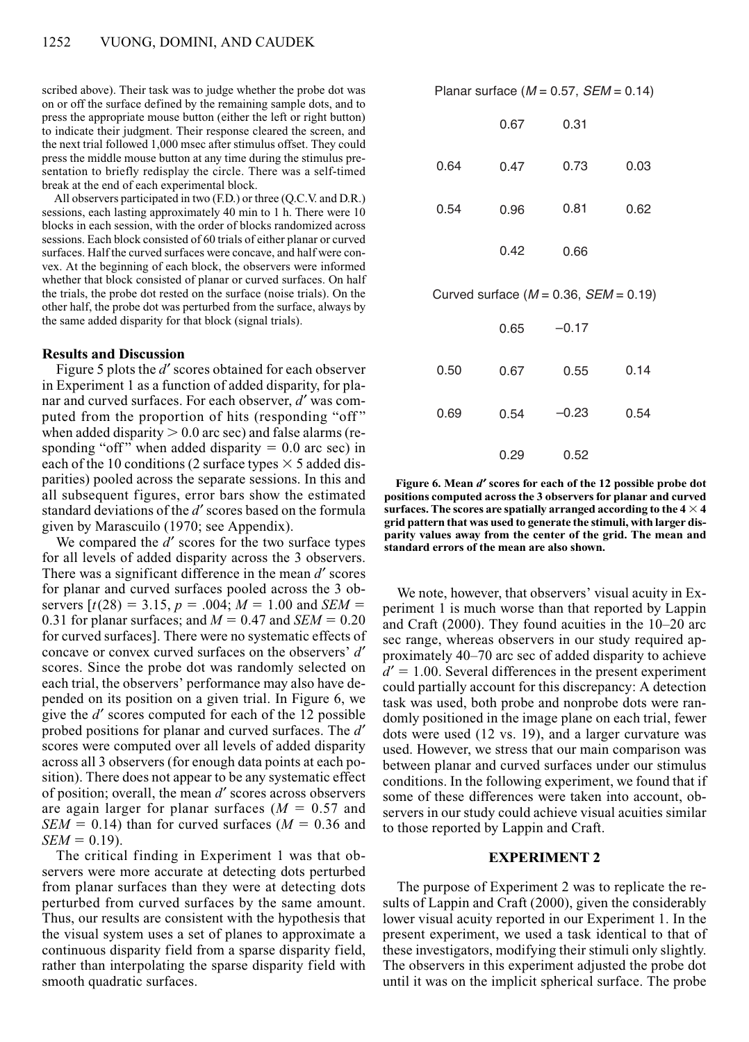scribed above). Their task was to judge whether the probe dot was on or off the surface defined by the remaining sample dots, and to press the appropriate mouse button (either the left or right button) to indicate their judgment. Their response cleared the screen, and the next trial followed 1,000 msec after stimulus offset. They could press the middle mouse button at any time during the stimulus presentation to briefly redisplay the circle. There was a self-timed break at the end of each experimental block.

All observers participated in two (F.D.) or three (Q.C.V. and D.R.) sessions, each lasting approximately 40 min to 1 h. There were 10 blocks in each session, with the order of blocks randomized across sessions. Each block consisted of 60 trials of either planar or curved surfaces. Half the curved surfaces were concave, and half were convex. At the beginning of each block, the observers were informed whether that block consisted of planar or curved surfaces. On half the trials, the probe dot rested on the surface (noise trials). On the other half, the probe dot was perturbed from the surface, always by the same added disparity for that block (signal trials).

## **Results and Discussion**

Figure 5 plots the *d'* scores obtained for each observer in Experiment 1 as a function of added disparity, for planar and curved surfaces. For each observer, *d'* was computed from the proportion of hits (responding "off " when added disparity  $> 0.0$  arc sec) and false alarms (responding "off" when added disparity  $= 0.0$  arc sec) in each of the 10 conditions (2 surface types  $\times$  5 added disparities) pooled across the separate sessions. In this and all subsequent figures, error bars show the estimated standard deviations of the *d'* scores based on the formula given by Marascuilo (1970; see Appendix).

We compared the *d'* scores for the two surface types for all levels of added disparity across the 3 observers. There was a significant difference in the mean *d*<sup>*'*</sup> scores for planar and curved surfaces pooled across the 3 observers  $[t(28) = 3.15, p = .004; M = 1.00$  and *SEM* = 0.31 for planar surfaces; and  $M = 0.47$  and  $SEM = 0.20$ for curved surfaces]. There were no systematic effects of concave or convex curved surfaces on the observers' *d'* scores. Since the probe dot was randomly selected on each trial, the observers' performance may also have depended on its position on a given trial. In Figure 6, we give the *d*<sup> $\prime$ </sup> scores computed for each of the 12 possible probed positions for planar and curved surfaces. The *d'* scores were computed over all levels of added disparity across all 3 observers (for enough data points at each position). There does not appear to be any systematic effect of position; overall, the mean *d'* scores across observers are again larger for planar surfaces  $(M = 0.57$  and  $SEM = 0.14$ ) than for curved surfaces ( $M = 0.36$  and  $SEM = 0.19$ .

The critical finding in Experiment 1 was that observers were more accurate at detecting dots perturbed from planar surfaces than they were at detecting dots perturbed from curved surfaces by the same amount. Thus, our results are consistent with the hypothesis that the visual system uses a set of planes to approximate a continuous disparity field from a sparse disparity field, rather than interpolating the sparse disparity field with smooth quadratic surfaces.

Planar surface  $(M = 0.57, SEM = 0.14)$ 

|      | 0.67 | 0.31                                         |      |
|------|------|----------------------------------------------|------|
| 0.64 | 0.47 | 0.73                                         | 0.03 |
| 0.54 | 0.96 | 0.81                                         | 0.62 |
|      | 0.42 | 0.66                                         |      |
|      |      | Curved surface ( $M = 0.36$ , $SEM = 0.19$ ) |      |
|      | 0.65 | $-0.17$                                      |      |
| 0.50 | 0.67 | 0.55                                         | 0.14 |
| 0.69 | 0.54 | $-0.23$                                      | 0.54 |
|      |      |                                              |      |

**Figure 6. Mean** *d*¢ **scores for each of the 12 possible probe dot positions computed across the 3 observers for planar and curved surfaces. The scores are spatially arranged according to the**  $4 \times 4$ **grid pattern that was used to generate the stimuli, with larger disparity values away from the center of the grid. The mean and standard errors of the mean are also shown.**

0.52

0.29

We note, however, that observers' visual acuity in Experiment 1 is much worse than that reported by Lappin and Craft (2000). They found acuities in the 10–20 arc sec range, whereas observers in our study required approximately 40–70 arc sec of added disparity to achieve  $d' = 1.00$ . Several differences in the present experiment could partially account for this discrepancy: A detection task was used, both probe and nonprobe dots were randomly positioned in the image plane on each trial, fewer dots were used (12 vs. 19), and a larger curvature was used. However, we stress that our main comparison was between planar and curved surfaces under our stimulus conditions. In the following experiment, we found that if some of these differences were taken into account, observers in our study could achieve visual acuities similar to those reported by Lappin and Craft.

## **EXPERIMENT 2**

The purpose of Experiment 2 was to replicate the results of Lappin and Craft (2000), given the considerably lower visual acuity reported in our Experiment 1. In the present experiment, we used a task identical to that of these investigators, modifying their stimuli only slightly. The observers in this experiment adjusted the probe dot until it was on the implicit spherical surface. The probe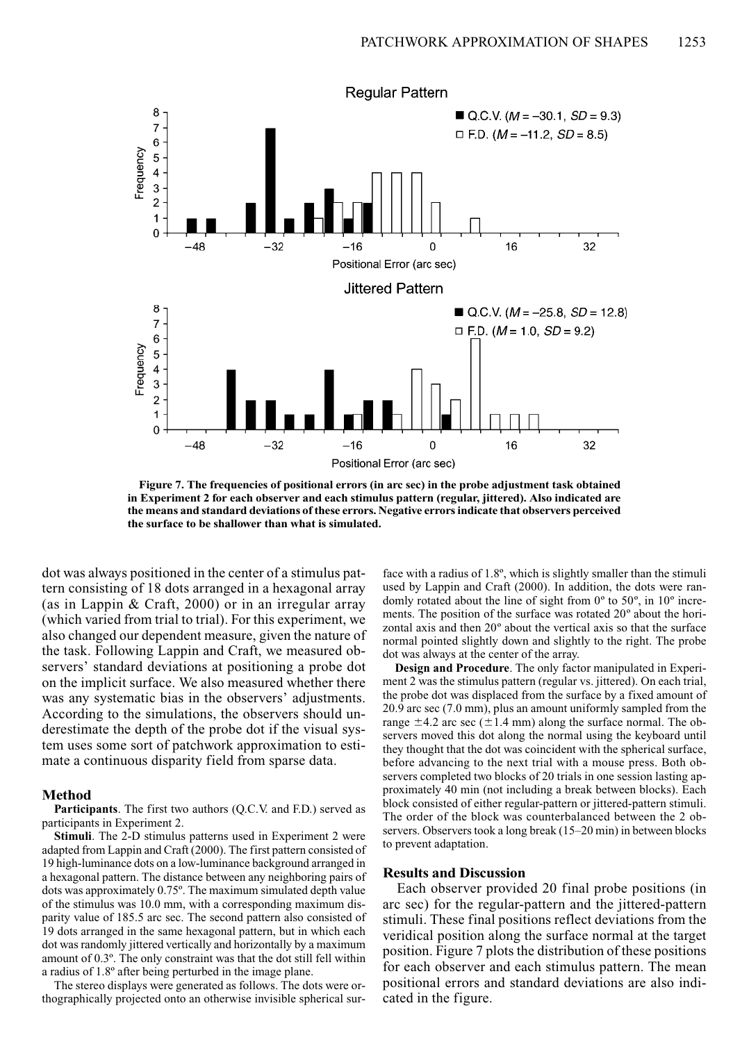

**Figure 7. The frequencies of positional errors (in arc sec) in the probe adjustment task obtained in Experiment 2 for each observer and each stimulus pattern (regular, jittered). Also indicated are the means and standard deviations of these errors. Negative errors indicate that observers perceived the surface to be shallower than what is simulated.**

dot was always positioned in the center of a stimulus pattern consisting of 18 dots arranged in a hexagonal array (as in Lappin & Craft, 2000) or in an irregular array (which varied from trial to trial). For this experiment, we also changed our dependent measure, given the nature of the task. Following Lappin and Craft, we measured observers' standard deviations at positioning a probe dot on the implicit surface. We also measured whether there was any systematic bias in the observers' adjustments. According to the simulations, the observers should underestimate the depth of the probe dot if the visual system uses some sort of patchwork approximation to estimate a continuous disparity field from sparse data.

### **Method**

**Participants**. The first two authors (Q.C.V. and F.D.) served as participants in Experiment 2.

**Stimuli**. The 2-D stimulus patterns used in Experiment 2 were adapted from Lappin and Craft (2000). The first pattern consisted of 19 high-luminance dots on a low-luminance background arranged in a hexagonal pattern. The distance between any neighboring pairs of dots was approximately 0.75º. The maximum simulated depth value of the stimulus was 10.0 mm, with a corresponding maximum disparity value of 185.5 arc sec. The second pattern also consisted of 19 dots arranged in the same hexagonal pattern, but in which each dot was randomly jittered vertically and horizontally by a maximum amount of 0.3º. The only constraint was that the dot still fell within a radius of 1.8º after being perturbed in the image plane.

The stereo displays were generated as follows. The dots were orthographically projected onto an otherwise invisible spherical surface with a radius of 1.8º, which is slightly smaller than the stimuli used by Lappin and Craft (2000). In addition, the dots were randomly rotated about the line of sight from 0º to 50º, in 10º increments. The position of the surface was rotated 20º about the horizontal axis and then 20º about the vertical axis so that the surface normal pointed slightly down and slightly to the right. The probe dot was always at the center of the array.

**Design and Procedure**. The only factor manipulated in Experiment 2 was the stimulus pattern (regular vs. jittered). On each trial, the probe dot was displaced from the surface by a fixed amount of 20.9 arc sec (7.0 mm), plus an amount uniformly sampled from the range  $\pm$ 4.2 arc sec ( $\pm$ 1.4 mm) along the surface normal. The observers moved this dot along the normal using the keyboard until they thought that the dot was coincident with the spherical surface, before advancing to the next trial with a mouse press. Both observers completed two blocks of 20 trials in one session lasting approximately 40 min (not including a break between blocks). Each block consisted of either regular-pattern or jittered-pattern stimuli. The order of the block was counterbalanced between the 2 observers. Observers took a long break (15–20 min) in between blocks to prevent adaptation.

## **Results and Discussion**

Each observer provided 20 final probe positions (in arc sec) for the regular-pattern and the jittered-pattern stimuli. These final positions reflect deviations from the veridical position along the surface normal at the target position. Figure 7 plots the distribution of these positions for each observer and each stimulus pattern. The mean positional errors and standard deviations are also indicated in the figure.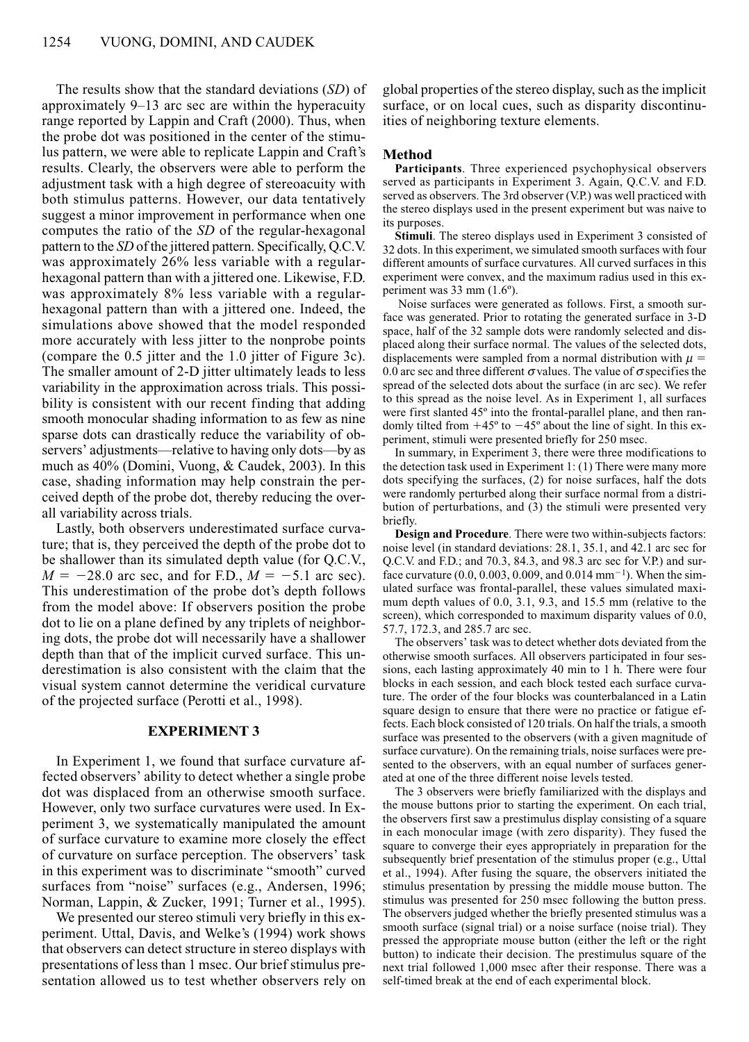The results show that the standard deviations (*SD*) of approximately 9–13 arc sec are within the hyperacuity range reported by Lappin and Craft (2000). Thus, when the probe dot was positioned in the center of the stimulus pattern, we were able to replicate Lappin and Craft's results. Clearly, the observers were able to perform the adjustment task with a high degree of stereoacuity with both stimulus patterns. However, our data tentatively suggest a minor improvement in performance when one computes the ratio of the *SD* of the regular-hexagonal pattern to the *SD* of the jittered pattern. Specifically, Q.C.V. was approximately 26% less variable with a regularhexagonal pattern than with a jittered one. Likewise, F.D. was approximately 8% less variable with a regularhexagonal pattern than with a jittered one. Indeed, the simulations above showed that the model responded more accurately with less jitter to the nonprobe points (compare the 0.5 jitter and the 1.0 jitter of Figure 3c). The smaller amount of 2-D jitter ultimately leads to less variability in the approximation across trials. This possibility is consistent with our recent finding that adding smooth monocular shading information to as few as nine sparse dots can drastically reduce the variability of observers' adjustments—relative to having only dots—by as much as 40% (Domini, Vuong, & Caudek, 2003). In this case, shading information may help constrain the perceived depth of the probe dot, thereby reducing the overall variability across trials.

Lastly, both observers underestimated surface curvature; that is, they perceived the depth of the probe dot to be shallower than its simulated depth value (for Q.C.V.,  $M = -28.0$  arc sec, and for F.D.,  $M = -5.1$  arc sec). This underestimation of the probe dot's depth follows from the model above: If observers position the probe dot to lie on a plane defined by any triplets of neighboring dots, the probe dot will necessarily have a shallower depth than that of the implicit curved surface. This underestimation is also consistent with the claim that the visual system cannot determine the veridical curvature of the projected surface (Perotti et al., 1998).

## **EXPERIMENT 3**

In Experiment 1, we found that surface curvature affected observers' ability to detect whether a single probe dot was displaced from an otherwise smooth surface. However, only two surface curvatures were used. In Experiment 3, we systematically manipulated the amount of surface curvature to examine more closely the effect of curvature on surface perception. The observers' task in this experiment was to discriminate "smooth" curved surfaces from "noise" surfaces (e.g., Andersen, 1996; Norman, Lappin, & Zucker, 1991; Turner et al., 1995).

We presented our stereo stimuli very briefly in this experiment. Uttal, Davis, and Welke's (1994) work shows that observers can detect structure in stereo displays with presentations of less than 1 msec. Our brief stimulus presentation allowed us to test whether observers rely on global properties of the stereo display, such as the implicit surface, or on local cues, such as disparity discontinuities of neighboring texture elements.

# **Method**

**Participants**. Three experienced psychophysical observers served as participants in Experiment 3. Again, Q.C.V. and F.D. served as observers. The 3rd observer (V.P.) was well practiced with the stereo displays used in the present experiment but was naive to its purposes.

**Stimuli**. The stereo displays used in Experiment 3 consisted of 32 dots. In this experiment, we simulated smooth surfaces with four different amounts of surface curvatures. All curved surfaces in this experiment were convex, and the maximum radius used in this experiment was 33 mm (1.6º).

Noise surfaces were generated as follows. First, a smooth surface was generated. Prior to rotating the generated surface in 3-D space, half of the 32 sample dots were randomly selected and displaced along their surface normal. The values of the selected dots, displacements were sampled from a normal distribution with  $\mu =$ 0.0 arc sec and three different  $\sigma$  values. The value of  $\sigma$  specifies the spread of the selected dots about the surface (in arc sec). We refer to this spread as the noise level. As in Experiment 1, all surfaces were first slanted 45º into the frontal-parallel plane, and then randomly tilted from  $+45^{\circ}$  to  $-45^{\circ}$  about the line of sight. In this experiment, stimuli were presented briefly for 250 msec.

In summary, in Experiment 3, there were three modifications to the detection task used in Experiment 1: (1) There were many more dots specifying the surfaces, (2) for noise surfaces, half the dots were randomly perturbed along their surface normal from a distribution of perturbations, and (3) the stimuli were presented very briefly.

**Design and Procedure**. There were two within-subjects factors: noise level (in standard deviations: 28.1, 35.1, and 42.1 arc sec for Q.C.V. and F.D.; and 70.3, 84.3, and 98.3 arc sec for V.P.) and surface curvature  $(0.0, 0.003, 0.009, \text{and } 0.014 \text{ mm}^{-1})$ . When the simulated surface was frontal-parallel, these values simulated maximum depth values of 0.0, 3.1, 9.3, and 15.5 mm (relative to the screen), which corresponded to maximum disparity values of 0.0, 57.7, 172.3, and 285.7 arc sec.

The observers' task was to detect whether dots deviated from the otherwise smooth surfaces. All observers participated in four sessions, each lasting approximately 40 min to 1 h. There were four blocks in each session, and each block tested each surface curvature. The order of the four blocks was counterbalanced in a Latin square design to ensure that there were no practice or fatigue effects. Each block consisted of 120 trials. On half the trials, a smooth surface was presented to the observers (with a given magnitude of surface curvature). On the remaining trials, noise surfaces were presented to the observers, with an equal number of surfaces generated at one of the three different noise levels tested.

The 3 observers were briefly familiarized with the displays and the mouse buttons prior to starting the experiment. On each trial, the observers first saw a prestimulus display consisting of a square in each monocular image (with zero disparity). They fused the square to converge their eyes appropriately in preparation for the subsequently brief presentation of the stimulus proper (e.g., Uttal et al., 1994). After fusing the square, the observers initiated the stimulus presentation by pressing the middle mouse button. The stimulus was presented for 250 msec following the button press. The observers judged whether the briefly presented stimulus was a smooth surface (signal trial) or a noise surface (noise trial). They pressed the appropriate mouse button (either the left or the right button) to indicate their decision. The prestimulus square of the next trial followed 1,000 msec after their response. There was a self-timed break at the end of each experimental block.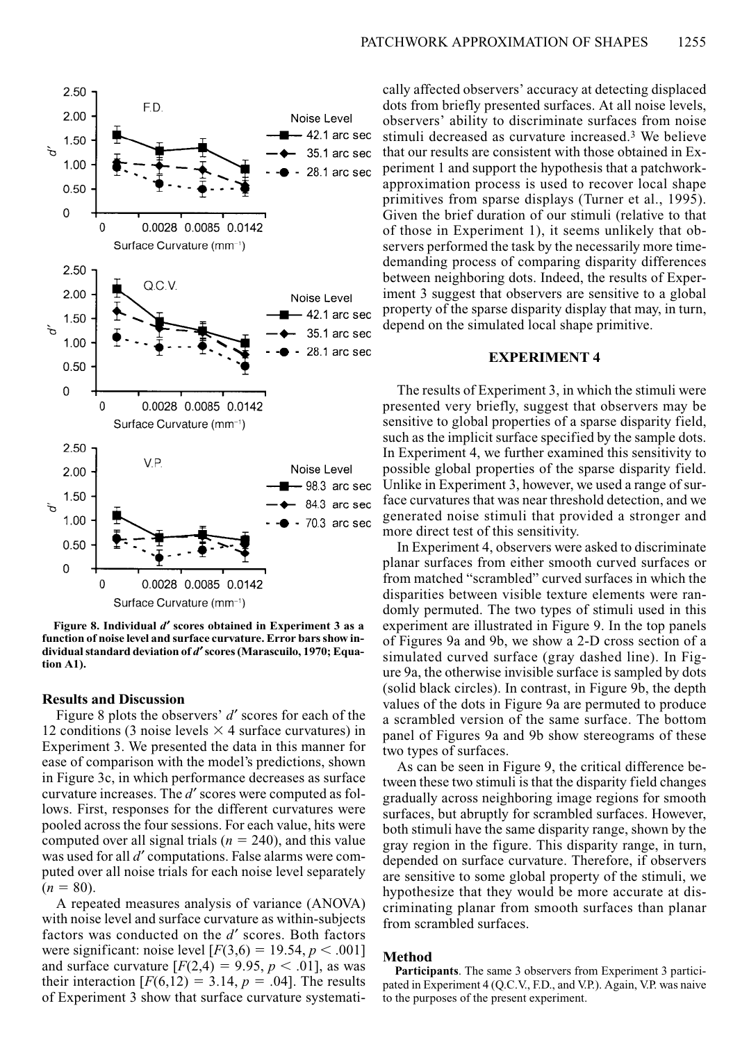

**Figure 8. Individual** *d*¢ **scores obtained in Experiment 3 as a function of noise level and surface curvature. Error bars show in**dividual standard deviation of *d'* scores (Marascuilo, 1970; Equa**tion A1).**

#### **Results and Discussion**

Figure 8 plots the observers' *d'* scores for each of the 12 conditions (3 noise levels  $\times$  4 surface curvatures) in Experiment 3. We presented the data in this manner for ease of comparison with the model's predictions, shown in Figure 3c, in which performance decreases as surface curvature increases. The *d'* scores were computed as follows. First, responses for the different curvatures were pooled across the four sessions. For each value, hits were computed over all signal trials ( $n = 240$ ), and this value was used for all *d'* computations. False alarms were computed over all noise trials for each noise level separately  $(n = 80)$ .

A repeated measures analysis of variance (ANOVA) with noise level and surface curvature as within-subjects factors was conducted on the *d'* scores. Both factors were significant: noise level  $[F(3,6) = 19.54, p < .001]$ and surface curvature  $[F(2,4) = 9.95, p < .01]$ , as was their interaction  $[F(6,12) = 3.14, p = .04]$ . The results of Experiment 3 show that surface curvature systematically affected observers' accuracy at detecting displaced dots from briefly presented surfaces. At all noise levels, observers' ability to discriminate surfaces from noise stimuli decreased as curvature increased.3 We believe that our results are consistent with those obtained in Experiment 1 and support the hypothesis that a patchworkapproximation process is used to recover local shape primitives from sparse displays (Turner et al., 1995). Given the brief duration of our stimuli (relative to that of those in Experiment 1), it seems unlikely that observers performed the task by the necessarily more timedemanding process of comparing disparity differences between neighboring dots. Indeed, the results of Experiment 3 suggest that observers are sensitive to a global property of the sparse disparity display that may, in turn, depend on the simulated local shape primitive.

## **EXPERIMENT 4**

The results of Experiment 3, in which the stimuli were presented very briefly, suggest that observers may be sensitive to global properties of a sparse disparity field, such as the implicit surface specified by the sample dots. In Experiment 4, we further examined this sensitivity to possible global properties of the sparse disparity field. Unlike in Experiment 3, however, we used a range of surface curvatures that was near threshold detection, and we generated noise stimuli that provided a stronger and more direct test of this sensitivity.

In Experiment 4, observers were asked to discriminate planar surfaces from either smooth curved surfaces or from matched "scrambled" curved surfaces in which the disparities between visible texture elements were randomly permuted. The two types of stimuli used in this experiment are illustrated in Figure 9. In the top panels of Figures 9a and 9b, we show a 2-D cross section of a simulated curved surface (gray dashed line). In Figure 9a, the otherwise invisible surface is sampled by dots (solid black circles). In contrast, in Figure 9b, the depth values of the dots in Figure 9a are permuted to produce a scrambled version of the same surface. The bottom panel of Figures 9a and 9b show stereograms of these two types of surfaces.

As can be seen in Figure 9, the critical difference between these two stimuli is that the disparity field changes gradually across neighboring image regions for smooth surfaces, but abruptly for scrambled surfaces. However, both stimuli have the same disparity range, shown by the gray region in the figure. This disparity range, in turn, depended on surface curvature. Therefore, if observers are sensitive to some global property of the stimuli, we hypothesize that they would be more accurate at discriminating planar from smooth surfaces than planar from scrambled surfaces.

### **Method**

**Participants**. The same 3 observers from Experiment 3 participated in Experiment 4 (Q.C.V., F.D., and V.P.). Again, V.P. was naive to the purposes of the present experiment.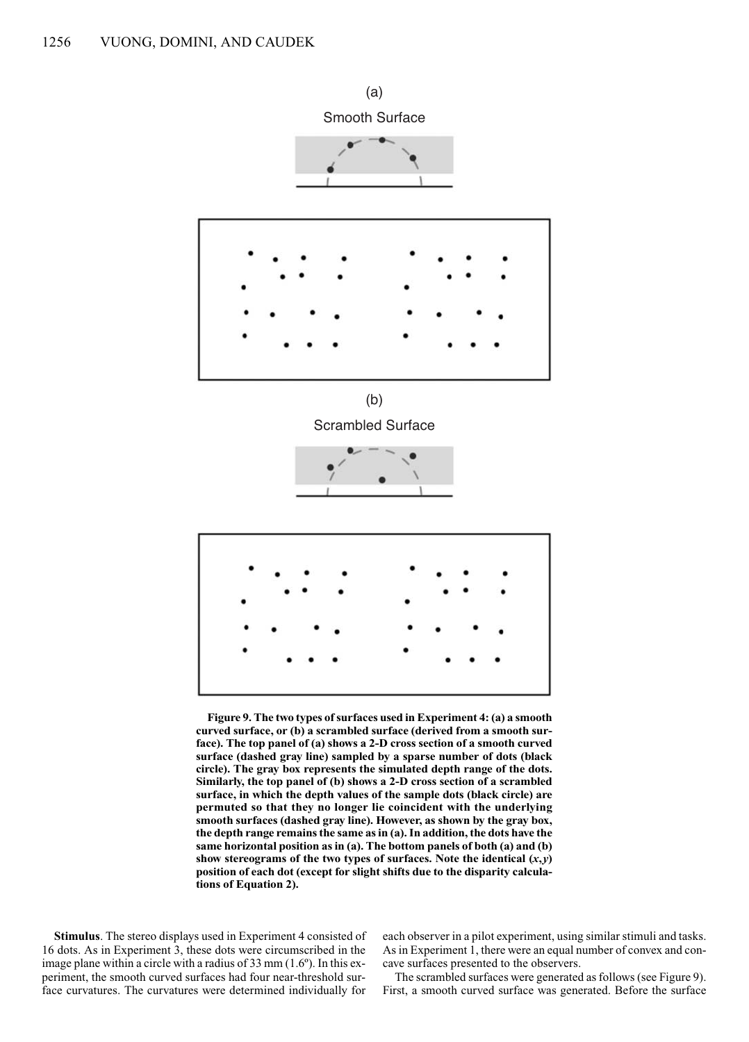

**Figure 9. The two types of surfaces used in Experiment 4: (a) a smooth curved surface, or (b) a scrambled surface (derived from a smooth surface). The top panel of (a) shows a 2-D cross section of a smooth curved surface (dashed gray line) sampled by a sparse number of dots (black circle). The gray box represents the simulated depth range of the dots. Similarly, the top panel of (b) shows a 2-D cross section of a scrambled surface, in which the depth values of the sample dots (black circle) are permuted so that they no longer lie coincident with the underlying smooth surfaces (dashed gray line). However, as shown by the gray box, the depth range remains the same as in (a). In addition, the dots have the same horizontal position as in (a). The bottom panels of both (a) and (b)** show stereograms of the two types of surfaces. Note the identical  $(x, y)$ **position of each dot (except for slight shifts due to the disparity calculations of Equation 2).**

**Stimulus**. The stereo displays used in Experiment 4 consisted of 16 dots. As in Experiment 3, these dots were circumscribed in the image plane within a circle with a radius of 33 mm (1.6º). In this experiment, the smooth curved surfaces had four near-threshold surface curvatures. The curvatures were determined individually for each observer in a pilot experiment, using similar stimuli and tasks. As in Experiment 1, there were an equal number of convex and concave surfaces presented to the observers.

The scrambled surfaces were generated as follows (see Figure 9). First, a smooth curved surface was generated. Before the surface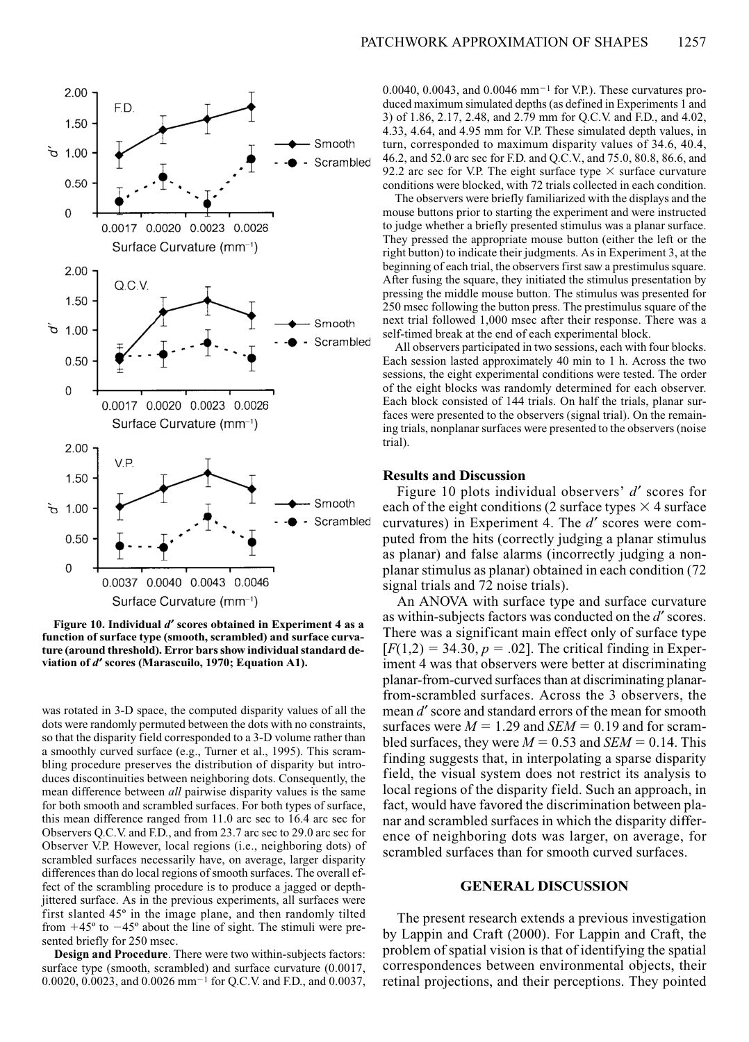

**Figure 10. Individual** *d*¢ **scores obtained in Experiment 4 as a function of surface type (smooth, scrambled) and surface curvature (around threshold). Error bars show individual standard de**viation of *d'* scores (Marascuilo, 1970; Equation A1).

was rotated in 3-D space, the computed disparity values of all the dots were randomly permuted between the dots with no constraints, so that the disparity field corresponded to a 3-D volume rather than a smoothly curved surface (e.g., Turner et al., 1995). This scrambling procedure preserves the distribution of disparity but introduces discontinuities between neighboring dots. Consequently, the mean difference between *all* pairwise disparity values is the same for both smooth and scrambled surfaces. For both types of surface, this mean difference ranged from 11.0 arc sec to 16.4 arc sec for Observers Q.C.V. and F.D., and from 23.7 arc sec to 29.0 arc sec for Observer V.P. However, local regions (i.e., neighboring dots) of scrambled surfaces necessarily have, on average, larger disparity differences than do local regions of smooth surfaces. The overall effect of the scrambling procedure is to produce a jagged or depthjittered surface. As in the previous experiments, all surfaces were first slanted 45º in the image plane, and then randomly tilted from  $+45^\circ$  to  $-45^\circ$  about the line of sight. The stimuli were presented briefly for 250 msec.

**Design and Procedure**. There were two within-subjects factors: surface type (smooth, scrambled) and surface curvature (0.0017, 0.0020, 0.0023, and 0.0026 mm<sup>-1</sup> for O.C.V. and F.D., and 0.0037, 0.0040, 0.0043, and 0.0046 mm<sup>-1</sup> for V.P.). These curvatures produced maximum simulated depths (as defined in Experiments 1 and 3) of 1.86, 2.17, 2.48, and 2.79 mm for Q.C.V. and F.D., and 4.02, 4.33, 4.64, and 4.95 mm for V.P. These simulated depth values, in turn, corresponded to maximum disparity values of 34.6, 40.4, 46.2, and 52.0 arc sec for F.D. and Q.C.V., and 75.0, 80.8, 86.6, and 92.2 arc sec for V.P. The eight surface type  $\times$  surface curvature conditions were blocked, with 72 trials collected in each condition.

The observers were briefly familiarized with the displays and the mouse buttons prior to starting the experiment and were instructed to judge whether a briefly presented stimulus was a planar surface. They pressed the appropriate mouse button (either the left or the right button) to indicate their judgments. As in Experiment 3, at the beginning of each trial, the observers first saw a prestimulus square. After fusing the square, they initiated the stimulus presentation by pressing the middle mouse button. The stimulus was presented for 250 msec following the button press. The prestimulus square of the next trial followed 1,000 msec after their response. There was a self-timed break at the end of each experimental block.

All observers participated in two sessions, each with four blocks. Each session lasted approximately 40 min to 1 h. Across the two sessions, the eight experimental conditions were tested. The order of the eight blocks was randomly determined for each observer. Each block consisted of 144 trials. On half the trials, planar surfaces were presented to the observers (signal trial). On the remaining trials, nonplanar surfaces were presented to the observers (noise trial).

## **Results and Discussion**

Figure 10 plots individual observers' *d'* scores for each of the eight conditions (2 surface types  $\times$  4 surface curvatures) in Experiment 4. The d' scores were computed from the hits (correctly judging a planar stimulus as planar) and false alarms (incorrectly judging a nonplanar stimulus as planar) obtained in each condition (72 signal trials and 72 noise trials).

An ANOVA with surface type and surface curvature as within-subjects factors was conducted on the *d*' scores. There was a significant main effect only of surface type  $[F(1,2) = 34.30, p = .02]$ . The critical finding in Experiment 4 was that observers were better at discriminating planar-from-curved surfaces than at discriminating planarfrom-scrambled surfaces. Across the 3 observers, the mean *d*' score and standard errors of the mean for smooth surfaces were  $M = 1.29$  and *SEM* = 0.19 and for scrambled surfaces, they were  $M = 0.53$  and *SEM* = 0.14. This finding suggests that, in interpolating a sparse disparity field, the visual system does not restrict its analysis to local regions of the disparity field. Such an approach, in fact, would have favored the discrimination between planar and scrambled surfaces in which the disparity difference of neighboring dots was larger, on average, for scrambled surfaces than for smooth curved surfaces.

# **GENERAL DISCUSSION**

The present research extends a previous investigation by Lappin and Craft (2000). For Lappin and Craft, the problem of spatial vision is that of identifying the spatial correspondences between environmental objects, their retinal projections, and their perceptions. They pointed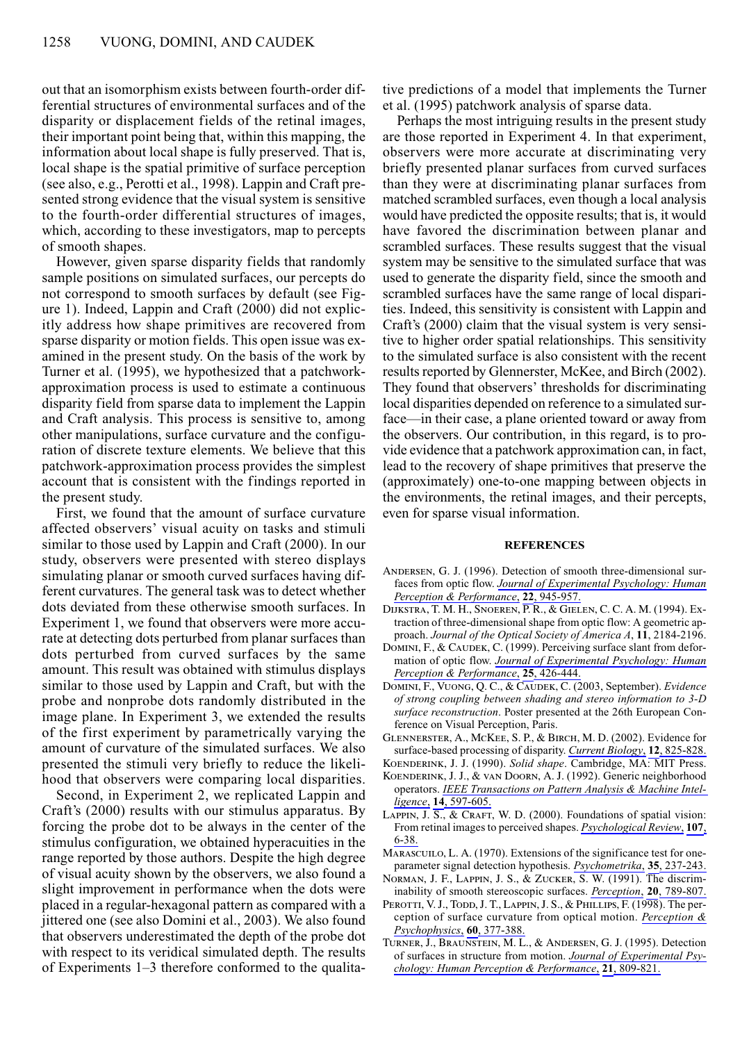out that an isomorphism exists between fourth-order differential structures of environmental surfaces and of the disparity or displacement fields of the retinal images, their important point being that, within this mapping, the information about local shape is fully preserved. That is, local shape is the spatial primitive of surface perception (see also, e.g., Perotti et al., 1998). Lappin and Craft presented strong evidence that the visual system is sensitive to the fourth-order differential structures of images, which, according to these investigators, map to percepts of smooth shapes.

However, given sparse disparity fields that randomly sample positions on simulated surfaces, our percepts do not correspond to smooth surfaces by default (see Figure 1). Indeed, Lappin and Craft (2000) did not explicitly address how shape primitives are recovered from sparse disparity or motion fields. This open issue was examined in the present study. On the basis of the work by Turner et al. (1995), we hypothesized that a patchworkapproximation process is used to estimate a continuous disparity field from sparse data to implement the Lappin and Craft analysis. This process is sensitive to, among other manipulations, surface curvature and the configuration of discrete texture elements. We believe that this patchwork-approximation process provides the simplest account that is consistent with the findings reported in the present study.

First, we found that the amount of surface curvature affected observers' visual acuity on tasks and stimuli similar to those used by Lappin and Craft (2000). In our study, observers were presented with stereo displays simulating planar or smooth curved surfaces having different curvatures. The general task was to detect whether dots deviated from these otherwise smooth surfaces. In Experiment 1, we found that observers were more accurate at detecting dots perturbed from planar surfaces than dots perturbed from curved surfaces by the same amount. This result was obtained with stimulus displays similar to those used by Lappin and Craft, but with the probe and nonprobe dots randomly distributed in the image plane. In Experiment 3, we extended the results of the first experiment by parametrically varying the amount of curvature of the simulated surfaces. We also presented the stimuli very briefly to reduce the likelihood that observers were comparing local disparities.

Second, in Experiment 2, we replicated Lappin and Craft's (2000) results with our stimulus apparatus. By forcing the probe dot to be always in the center of the stimulus configuration, we obtained hyperacuities in the range reported by those authors. Despite the high degree of visual acuity shown by the observers, we also found a slight improvement in performance when the dots were placed in a regular-hexagonal pattern as compared with a jittered one (see also Domini et al., 2003). We also found that observers underestimated the depth of the probe dot with respect to its veridical simulated depth. The results of Experiments 1–3 therefore conformed to the qualitative predictions of a model that implements the Turner et al. (1995) patchwork analysis of sparse data.

Perhaps the most intriguing results in the present study are those reported in Experiment 4. In that experiment, observers were more accurate at discriminating very briefly presented planar surfaces from curved surfaces than they were at discriminating planar surfaces from matched scrambled surfaces, even though a local analysis would have predicted the opposite results; that is, it would have favored the discrimination between planar and scrambled surfaces. These results suggest that the visual system may be sensitive to the simulated surface that was used to generate the disparity field, since the smooth and scrambled surfaces have the same range of local disparities. Indeed, this sensitivity is consistent with Lappin and Craft's (2000) claim that the visual system is very sensitive to higher order spatial relationships. This sensitivity to the simulated surface is also consistent with the recent results reported by Glennerster, McKee, and Birch (2002). They found that observers' thresholds for discriminating local disparities depended on reference to a simulated surface—in their case, a plane oriented toward or away from the observers. Our contribution, in this regard, is to provide evidence that a patchwork approximation can, in fact, lead to the recovery of shape primitives that preserve the (approximately) one-to-one mapping between objects in the environments, the retinal images, and their percepts, even for sparse visual information.

#### **REFERENCES**

- ANDERSEN, G. J. (1996). Detection of smooth three-dimensional surfaces from optic flow. *Journal of Experimental Psychology: Human Perception & Performance*, **22**, 945-957.
- Dijkstra, T. M. H., Snoeren, P. R., & Gielen, C. C. A. M. (1994). Extraction of three-dimensional shape from optic flow: A geometric approach. *Journal of the Optical Society of America A*, **11**, 2184-2196.
- DOMINI, F., & CAUDEK, C. (1999). Perceiving surface slant from deformation of optic flow. *Journal of Experimental Psychology: Human Perception & Performance*, **25**, 426-444.
- Domini, F., Vuong, Q. C., & Caudek, C. (2003, September). *Evidence of strong coupling between shading and stereo information to 3-D surface reconstruction*. Poster presented at the 26th European Conference on Visual Perception, Paris.
- Glennerster, A., McKee, S. P., & Birch, M. D. (2002). Evidence for surface-based processing of disparity. *Current Biology*, **12**, 825-828.
- Koenderink, J. J. (1990). *Solid shape*. Cambridge, MA: MIT Press. Koenderink, J. J., & van Doorn, A. J. (1992). Generic neighborhood operators. *IEEE Transactions on Pattern Analysis & Machine Intelligence*, **14**, 597-605.
- LAPPIN, J.  $\overline{S}$ , & CRAFT, W. D. (2000). Foundations of spatial vision: From retinal images to perceived shapes. *Psychological Review*, **107**, 6-38.
- MARASCUILO, L. A. (1970). Extensions of the significance test for oneparameter signal detection hypothesis. *Psychometrika*, **35**, 237-243.
- Norman, J. F., Lappin, J. S., & Zucker, S. W. (1991). The discriminability of smooth stereoscopic surfaces. *Perception*, **20**, 789-807.
- PEROTTI, V. J., TODD, J. T., LAPPIN, J. S., & PHILLIPS, F. (1998). The perception of surface curvature from optical motion. *Perception & Psychophysics*, **60**, 377-388.
- Turner, J., Braunstein, M. L., & Andersen, G. J. (1995). Detection of surfaces in structure from motion. *Journal of Experimental Psychology: Human Perception & Performance*, **21**, 809-821.